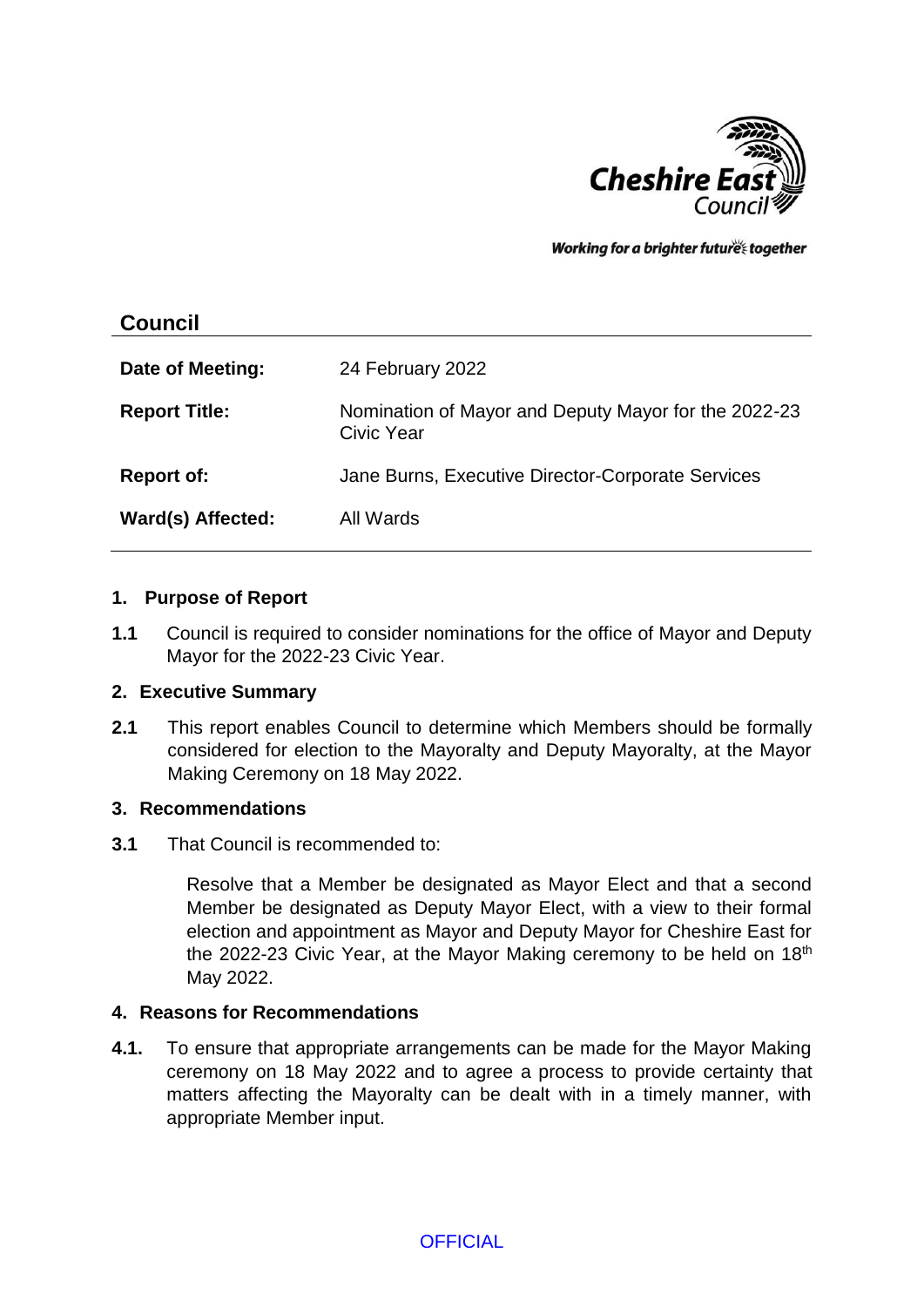

Working for a brighter future together

| 24 February 2022                                                   |
|--------------------------------------------------------------------|
| Nomination of Mayor and Deputy Mayor for the 2022-23<br>Civic Year |
| Jane Burns, Executive Director-Corporate Services                  |
| All Wards                                                          |
|                                                                    |

#### **1. Purpose of Report**

**1.1** Council is required to consider nominations for the office of Mayor and Deputy Mayor for the 2022-23 Civic Year.

#### **2. Executive Summary**

**2.1** This report enables Council to determine which Members should be formally considered for election to the Mayoralty and Deputy Mayoralty, at the Mayor Making Ceremony on 18 May 2022.

#### **3. Recommendations**

**3.1** That Council is recommended to:

Resolve that a Member be designated as Mayor Elect and that a second Member be designated as Deputy Mayor Elect, with a view to their formal election and appointment as Mayor and Deputy Mayor for Cheshire East for the 2022-23 Civic Year, at the Mayor Making ceremony to be held on 18<sup>th</sup> May 2022.

#### **4. Reasons for Recommendations**

**4.1.** To ensure that appropriate arrangements can be made for the Mayor Making ceremony on 18 May 2022 and to agree a process to provide certainty that matters affecting the Mayoralty can be dealt with in a timely manner, with appropriate Member input.

**OFFICIAL**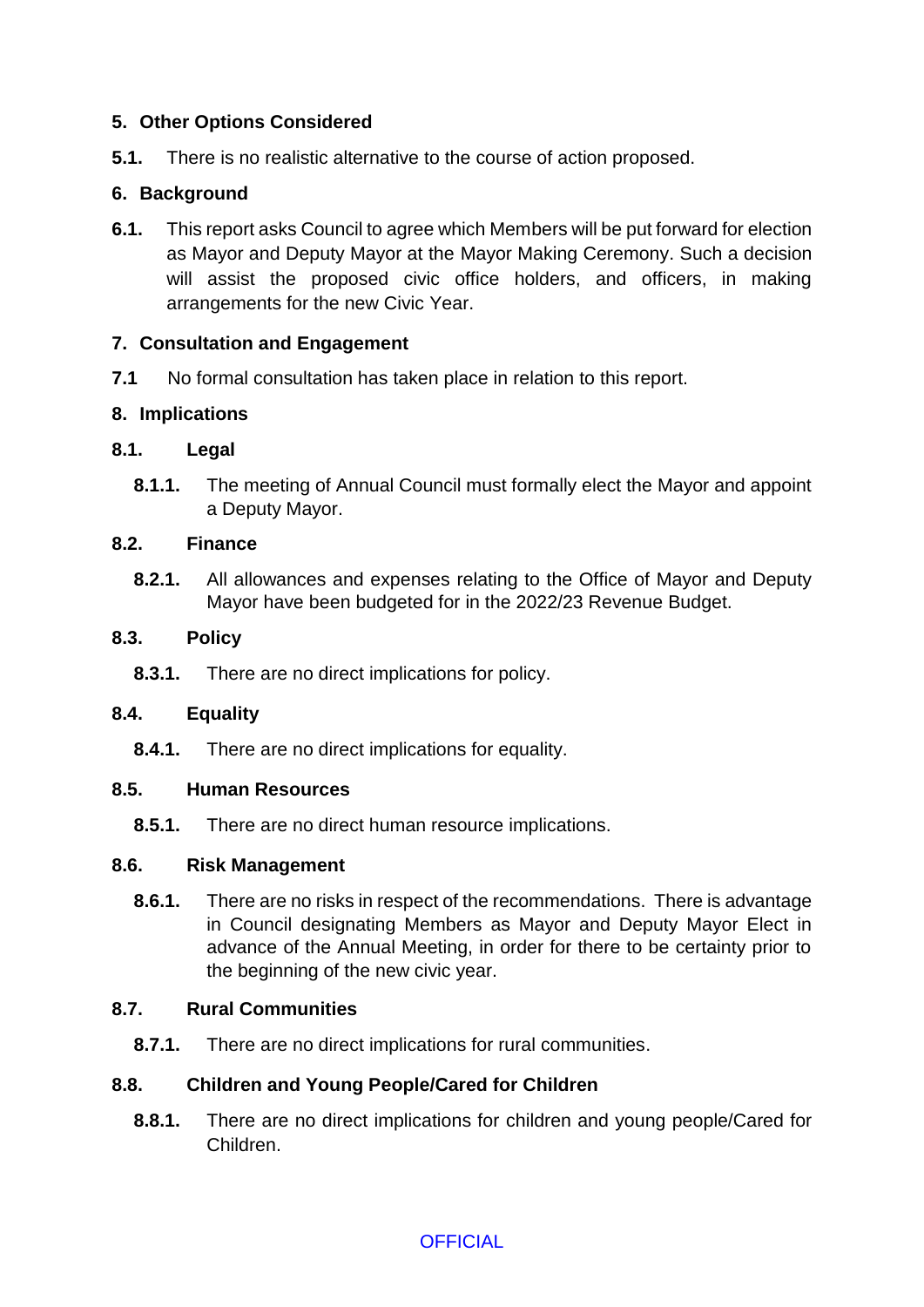# **5. Other Options Considered**

**5.1.** There is no realistic alternative to the course of action proposed.

# **6. Background**

**6.1.** This report asks Council to agree which Members will be put forward for election as Mayor and Deputy Mayor at the Mayor Making Ceremony. Such a decision will assist the proposed civic office holders, and officers, in making arrangements for the new Civic Year.

# **7. Consultation and Engagement**

**7.1** No formal consultation has taken place in relation to this report.

## **8. Implications**

## **8.1. Legal**

**8.1.1.** The meeting of Annual Council must formally elect the Mayor and appoint a Deputy Mayor.

## **8.2. Finance**

**8.2.1.** All allowances and expenses relating to the Office of Mayor and Deputy Mayor have been budgeted for in the 2022/23 Revenue Budget.

## **8.3. Policy**

**8.3.1.** There are no direct implications for policy.

## **8.4. Equality**

**8.4.1.** There are no direct implications for equality.

## **8.5. Human Resources**

**8.5.1.** There are no direct human resource implications.

## **8.6. Risk Management**

**8.6.1.** There are no risks in respect of the recommendations. There is advantage in Council designating Members as Mayor and Deputy Mayor Elect in advance of the Annual Meeting, in order for there to be certainty prior to the beginning of the new civic year.

## **8.7. Rural Communities**

**8.7.1.** There are no direct implications for rural communities.

# **8.8. Children and Young People/Cared for Children**

**8.8.1.** There are no direct implications for children and young people/Cared for Children.

**OFFICIAL**